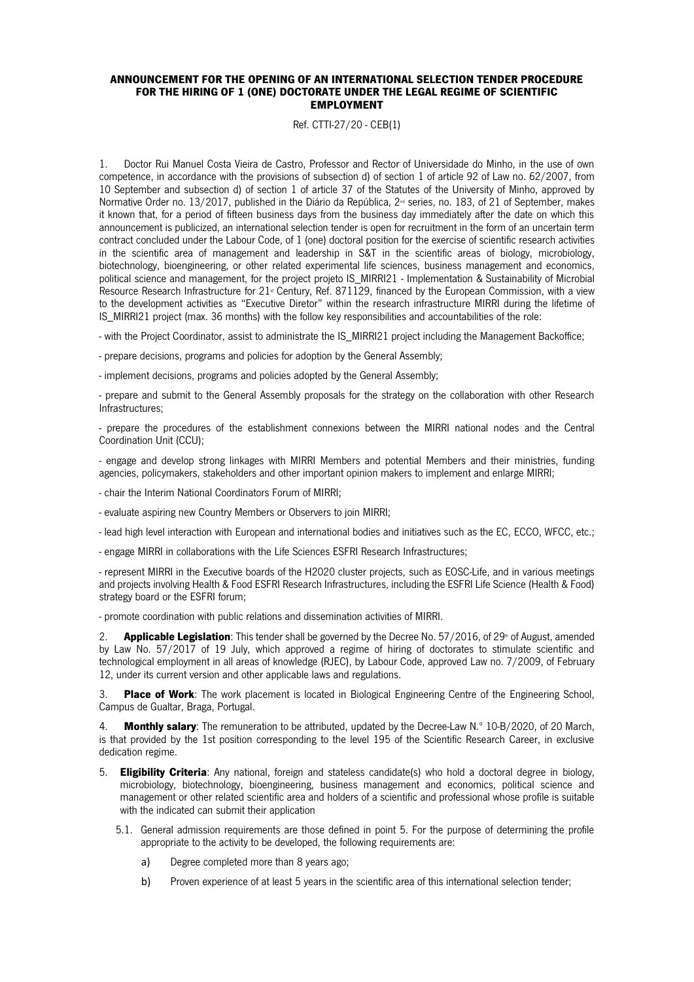## ANNOUNCEMENT FOR THE OPENING OF AN INTERNATIONAL SELECTION TENDER PROCEDURE FOR THE HIRING OF 1 (ONE) DOCTORATE UNDER THE LEGAL REGIME OF SCIENTIFIC EMPLOYMENT

Ref. CTTI-27/20 - CEB(1)

1. Doctor Rui Manuel Costa Vieira de Castro, Professor and Rector of Universidade do Minho, in the use of own competence, in accordance with the provisions of subsection d) of section 1 of article 92 of Law no. 62/2007, from 10 September and subsection d) of section 1 of article 37 of the Statutes of the University of Minho, approved by Normative Order no. 13/2017, published in the Diário da República, 2<sup>nd</sup> series, no. 183, of 21 of September, makes it known that, for a period of fifteen business days from the business day immediately after the date on which this announcement is publicized, an international selection tender is open for recruitment in the form of an uncertain term contract concluded under the Labour Code, of 1 (one) doctoral position for the exercise of scientific research activities in the scientific area of management and leadership in S&T in the scientific areas of biology, microbiology, biotechnology, bioengineering, or other related experimental life sciences, business management and economics, political science and management, for the project projeto IS\_MIRRI21 - Implementation & Sustainability of Microbial Resource Research Infrastructure for 21<sup>\*</sup> Century, Ref. 871129, financed by the European Commission, with a view to the development activities as "Executive Diretor" within the research infrastructure MIRRI during the lifetime of IS\_MIRRI21 project (max. 36 months) with the follow key responsibilities and accountabilities of the role:

- with the Project Coordinator, assist to administrate the IS\_MIRRI21 project including the Management Backoffice;

- prepare decisions, programs and policies for adoption by the General Assembly;

- implement decisions, programs and policies adopted by the General Assembly;

- prepare and submit to the General Assembly proposals for the strategy on the collaboration with other Research Infrastructures;

- prepare the procedures of the establishment connexions between the MIRRI national nodes and the Central Coordination Unit (CCU);

- engage and develop strong linkages with MIRRI Members and potential Members and their ministries, funding agencies, policymakers, stakeholders and other important opinion makers to implement and enlarge MIRRI;

- chair the Interim National Coordinators Forum of MIRRI;

- evaluate aspiring new Country Members or Observers to join MIRRI;

- lead high level interaction with European and international bodies and initiatives such as the EC, ECCO, WFCC, etc.;

- engage MIRRI in collaborations with the Life Sciences ESFRI Research Infrastructures;

- represent MIRRI in the Executive boards of the H2020 cluster projects, such as EOSC-Life, and in various meetings and projects involving Health & Food ESFRI Research Infrastructures, including the ESFRI Life Science (Health & Food) strategy board or the ESFRI forum;

- promote coordination with public relations and dissemination activities of MIRRI.

2. **Applicable Legislation**: This tender shall be governed by the Decree No. 57/2016, of 29<sup>th</sup> of August, amended by Law No. 57/2017 of 19 July, which approved a regime of hiring of doctorates to stimulate scientific and technological employment in all areas of knowledge (RJEC), by Labour Code, approved Law no. 7/2009, of February 12, under its current version and other applicable laws and regulations.

3. Place of Work: The work placement is located in Biological Engineering Centre of the Engineering School, Campus de Gualtar, Braga, Portugal.

4. **Monthly salary:** The remuneration to be attributed, updated by the Decree-Law N.º 10-B/2020, of 20 March, is that provided by the 1st position corresponding to the level 195 of the Scientific Research Career, in exclusive dedication regime.

- 5. Eligibility Criteria: Any national, foreign and stateless candidate(s) who hold a doctoral degree in biology, microbiology, biotechnology, bioengineering, business management and economics, political science and management or other related scientific area and holders of a scientific and professional whose profile is suitable with the indicated can submit their application
	- 5.1. General admission requirements are those defined in point 5. For the purpose of determining the profile appropriate to the activity to be developed, the following requirements are:
		- a) Degree completed more than 8 years ago;
		- b) Proven experience of at least 5 years in the scientific area of this international selection tender;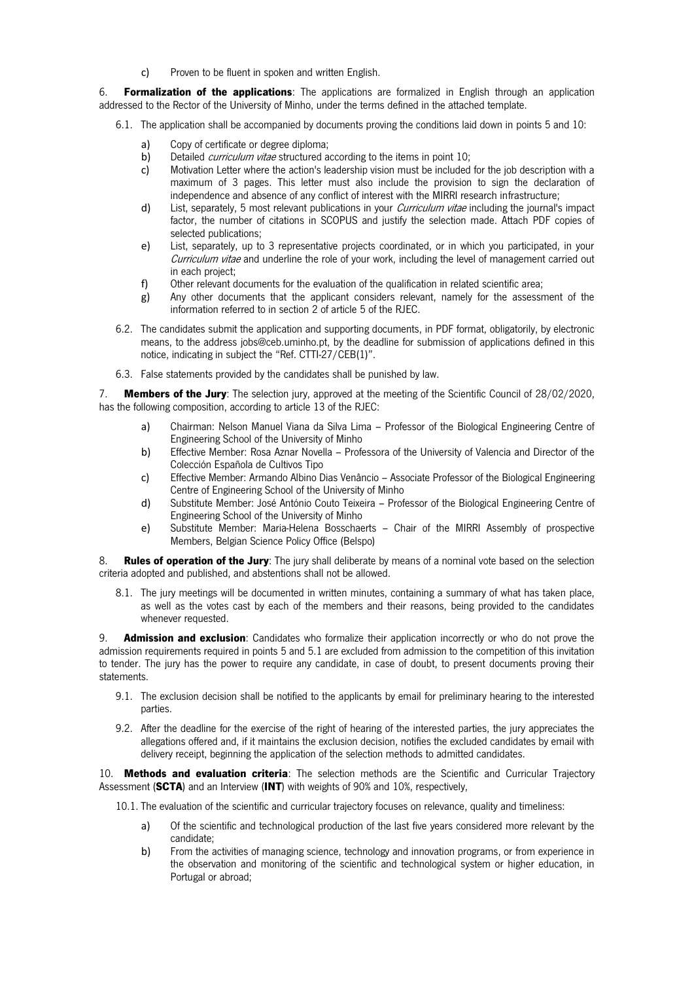c) Proven to be fluent in spoken and written English.

6. Formalization of the applications: The applications are formalized in English through an application addressed to the Rector of the University of Minho, under the terms defined in the attached template.

- 6.1. The application shall be accompanied by documents proving the conditions laid down in points 5 and 10:
	- a) Copy of certificate or degree diploma;
	- b) Detailed *curriculum vitae* structured according to the items in point 10;
	- c) Motivation Letter where the action's leadership vision must be included for the job description with a maximum of 3 pages. This letter must also include the provision to sign the declaration of independence and absence of any conflict of interest with the MIRRI research infrastructure;
	- d) List, separately, 5 most relevant publications in your *Curriculum vitae* including the journal's impact factor, the number of citations in SCOPUS and justify the selection made. Attach PDF copies of selected publications;
	- e) List, separately, up to 3 representative projects coordinated, or in which you participated, in your Curriculum vitae and underline the role of your work, including the level of management carried out in each project;
	- f) Other relevant documents for the evaluation of the qualification in related scientific area;
	- g) Any other documents that the applicant considers relevant, namely for the assessment of the information referred to in section 2 of article 5 of the RJEC.
- 6.2. The candidates submit the application and supporting documents, in PDF format, obligatorily, by electronic means, to the address jobs@ceb.uminho.pt, by the deadline for submission of applications defined in this notice, indicating in subject the "Ref. CTTI-27/CEB(1)".
- 6.3. False statements provided by the candidates shall be punished by law.

7. Members of the Jury: The selection jury, approved at the meeting of the Scientific Council of 28/02/2020, has the following composition, according to article 13 of the RJEC:

- a) Chairman: Nelson Manuel Viana da Silva Lima Professor of the Biological Engineering Centre of Engineering School of the University of Minho
- b) Effective Member: Rosa Aznar Novella Professora of the University of Valencia and Director of the Colección Española de Cultivos Tipo
- c) Effective Member: Armando Albino Dias Venâncio Associate Professor of the Biological Engineering Centre of Engineering School of the University of Minho
- d) Substitute Member: José António Couto Teixeira Professor of the Biological Engineering Centre of Engineering School of the University of Minho
- e) Substitute Member: Maria-Helena Bosschaerts Chair of the MIRRI Assembly of prospective Members, Belgian Science Policy Office (Belspo)

8. Rules of operation of the Jury: The jury shall deliberate by means of a nominal vote based on the selection criteria adopted and published, and abstentions shall not be allowed.

8.1. The jury meetings will be documented in written minutes, containing a summary of what has taken place, as well as the votes cast by each of the members and their reasons, being provided to the candidates whenever requested.

9. **Admission and exclusion**: Candidates who formalize their application incorrectly or who do not prove the admission requirements required in points 5 and 5.1 are excluded from admission to the competition of this invitation to tender. The jury has the power to require any candidate, in case of doubt, to present documents proving their statements.

- 9.1. The exclusion decision shall be notified to the applicants by email for preliminary hearing to the interested parties.
- 9.2. After the deadline for the exercise of the right of hearing of the interested parties, the jury appreciates the allegations offered and, if it maintains the exclusion decision, notifies the excluded candidates by email with delivery receipt, beginning the application of the selection methods to admitted candidates.

10. Methods and evaluation criteria: The selection methods are the Scientific and Curricular Trajectory Assessment (SCTA) and an Interview (INT) with weights of 90% and 10%, respectively,

10.1. The evaluation of the scientific and curricular trajectory focuses on relevance, quality and timeliness:

- a) Of the scientific and technological production of the last five years considered more relevant by the candidate;
- b) From the activities of managing science, technology and innovation programs, or from experience in the observation and monitoring of the scientific and technological system or higher education, in Portugal or abroad;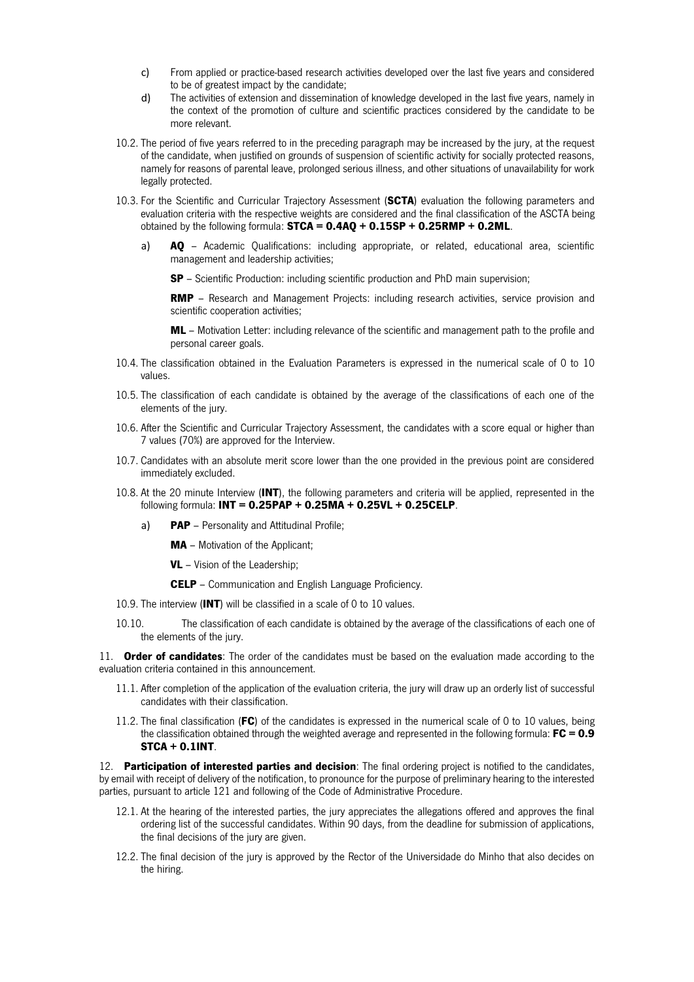- c) From applied or practice-based research activities developed over the last five years and considered to be of greatest impact by the candidate;
- d) The activities of extension and dissemination of knowledge developed in the last five years, namely in the context of the promotion of culture and scientific practices considered by the candidate to be more relevant.
- 10.2. The period of five years referred to in the preceding paragraph may be increased by the jury, at the request of the candidate, when justified on grounds of suspension of scientific activity for socially protected reasons, namely for reasons of parental leave, prolonged serious illness, and other situations of unavailability for work legally protected.
- 10.3. For the Scientific and Curricular Trajectory Assessment (SCTA) evaluation the following parameters and evaluation criteria with the respective weights are considered and the final classification of the ASCTA being obtained by the following formula:  $STCA = 0.4AQ + 0.15SP + 0.25RMP + 0.2ML$ .
	- a) AQ Academic Qualifications: including appropriate, or related, educational area, scientific management and leadership activities;
		- SP Scientific Production: including scientific production and PhD main supervision;

**RMP** – Research and Management Projects: including research activities, service provision and scientific cooperation activities;

ML – Motivation Letter: including relevance of the scientific and management path to the profile and personal career goals.

- 10.4. The classification obtained in the Evaluation Parameters is expressed in the numerical scale of 0 to 10 values.
- 10.5. The classification of each candidate is obtained by the average of the classifications of each one of the elements of the jury.
- 10.6. After the Scientific and Curricular Trajectory Assessment, the candidates with a score equal or higher than 7 values (70%) are approved for the Interview.
- 10.7. Candidates with an absolute merit score lower than the one provided in the previous point are considered immediately excluded.
- 10.8. At the 20 minute Interview (INT), the following parameters and criteria will be applied, represented in the following formula: INT = 0.25PAP + 0.25MA + 0.25VL + 0.25CELP.
	- a) **PAP** Personality and Attitudinal Profile;
		- MA Motivation of the Applicant;
		- **VL** Vision of the Leadership;
		- **CELP** Communication and English Language Proficiency.
- 10.9. The interview (INT) will be classified in a scale of 0 to 10 values.
- 10.10. The classification of each candidate is obtained by the average of the classifications of each one of the elements of the jury.

11. Order of candidates: The order of the candidates must be based on the evaluation made according to the evaluation criteria contained in this announcement.

- 11.1. After completion of the application of the evaluation criteria, the jury will draw up an orderly list of successful candidates with their classification.
- 11.2. The final classification (FC) of the candidates is expressed in the numerical scale of 0 to 10 values, being the classification obtained through the weighted average and represented in the following formula:  $FC = 0.9$ STCA + 0.1INT.

12. Participation of interested parties and decision: The final ordering project is notified to the candidates, by email with receipt of delivery of the notification, to pronounce for the purpose of preliminary hearing to the interested parties, pursuant to article 121 and following of the Code of Administrative Procedure.

- 12.1. At the hearing of the interested parties, the jury appreciates the allegations offered and approves the final ordering list of the successful candidates. Within 90 days, from the deadline for submission of applications, the final decisions of the jury are given.
- 12.2. The final decision of the jury is approved by the Rector of the Universidade do Minho that also decides on the hiring.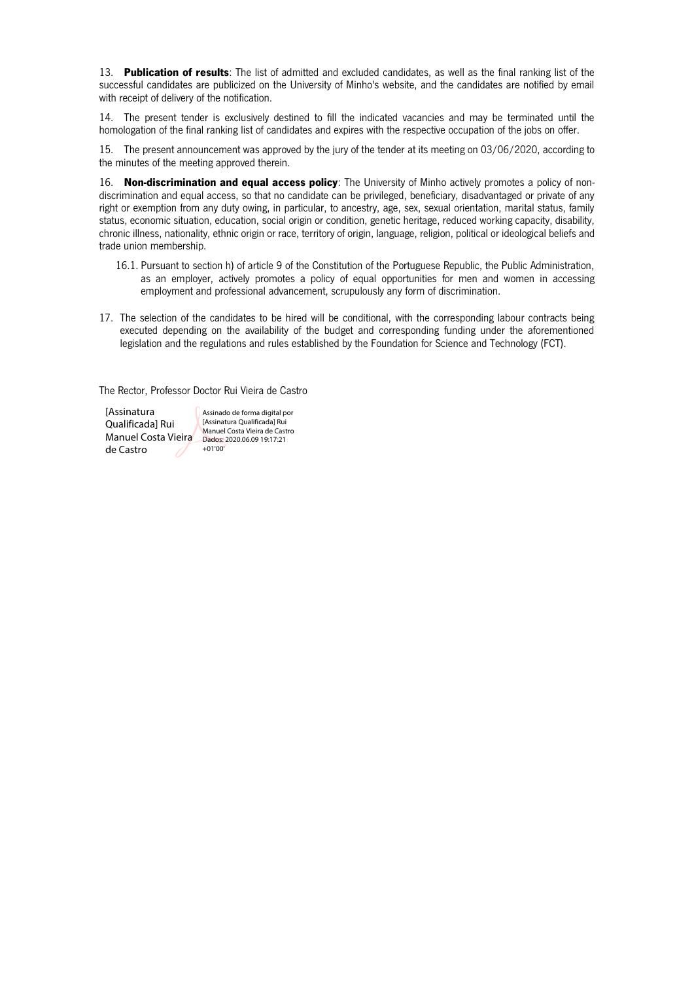13. Publication of results: The list of admitted and excluded candidates, as well as the final ranking list of the successful candidates are publicized on the University of Minho's website, and the candidates are notified by email with receipt of delivery of the notification.

14. The present tender is exclusively destined to fill the indicated vacancies and may be terminated until the homologation of the final ranking list of candidates and expires with the respective occupation of the jobs on offer.

15. The present announcement was approved by the jury of the tender at its meeting on 03/06/2020, according to the minutes of the meeting approved therein.

16. Non-discrimination and equal access policy: The University of Minho actively promotes a policy of nondiscrimination and equal access, so that no candidate can be privileged, beneficiary, disadvantaged or private of any right or exemption from any duty owing, in particular, to ancestry, age, sex, sexual orientation, marital status, family status, economic situation, education, social origin or condition, genetic heritage, reduced working capacity, disability, chronic illness, nationality, ethnic origin or race, territory of origin, language, religion, political or ideological beliefs and trade union membership.

- 16.1. Pursuant to section h) of article 9 of the Constitution of the Portuguese Republic, the Public Administration, as an employer, actively promotes a policy of equal opportunities for men and women in accessing employment and professional advancement, scrupulously any form of discrimination.
- 17. The selection of the candidates to be hired will be conditional, with the corresponding labour contracts being executed depending on the availability of the budget and corresponding funding under the aforementioned legislation and the regulations and rules established by the Foundation for Science and Technology (FCT).

The Rector, Professor Doctor Rui Vieira de Castro

**[Assinatura** Assinado de forma digital por Qualificada] Rui [Assinatura Qualificada] Rui Manuel Costa Vieira de Castro Manuel Costa Vieira Dados: 2020.06.09 19:17:21 +01'00'de Castro 78